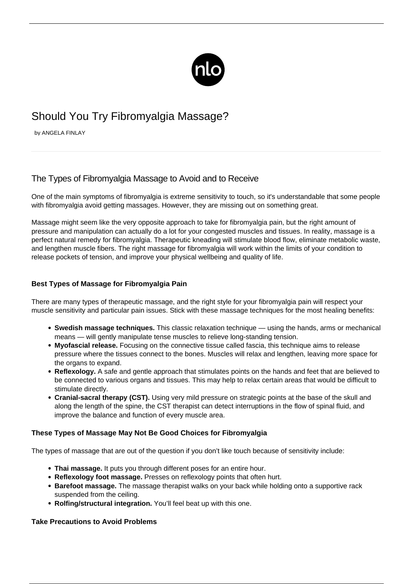

# Should You Try Fibromyalgia Massage?

by ANGELA FINLAY

## The Types of Fibromyalgia Massage to Avoid and to Receive

One of the main [symptoms of fibromyalgia](/tackle-symptoms-one-one/) is extreme sensitivity to touch, so it's understandable that some people with fibromyalgia avoid getting massages. However, they are missing out on something great.

Massage might seem like the very opposite approach to take for fibromyalgia pain, but the right amount of pressure and manipulation can actually do a lot for your congested muscles and tissues. In reality, massage is a perfect natural remedy for fibromyalgia. Therapeutic kneading will stimulate blood flow, eliminate metabolic waste, and lengthen muscle fibers. The right massage for fibromyalgia will work within the limits of your condition to release pockets of tension, and improve your physical wellbeing and quality of life.

### **Best Types of Massage for Fibromyalgia Pain**

There are many types of therapeutic massage, and the right style for your fibromyalgia pain will respect your muscle sensitivity and particular pain issues. Stick with these massage techniques for the most healing benefits:

- **Swedish massage techniques.** This classic relaxation technique using the hands, arms or mechanical means — will gently manipulate tense muscles to relieve long-standing tension.
- **Myofascial release.** Focusing on the connective tissue called fascia, this technique aims to release pressure where the tissues connect to the bones. Muscles will relax and lengthen, leaving more space for the organs to expand.
- **Reflexology.** A safe and gentle approach that stimulates points on the hands and feet that are believed to be connected to various organs and tissues. This may help to relax certain areas that would be difficult to stimulate directly.
- **Cranial-sacral therapy (CST).** Using very mild pressure on strategic points at the base of the skull and along the length of the spine, the CST therapist can detect interruptions in the flow of spinal fluid, and improve the balance and function of every muscle area.

### **These Types of Massage May Not Be Good Choices for Fibromyalgia**

The types of massage that are out of the question if you don't like touch because of sensitivity include:

- **Thai massage.** It puts you through different poses for an entire hour.
- **Reflexology foot massage.** Presses on reflexology points that often hurt.
- **Barefoot massage.** The massage therapist walks on your back while holding onto a supportive rack suspended from the ceiling.
- **Rolfing/structural integration.** You'll feel beat up with this one.

#### **Take Precautions to Avoid Problems**